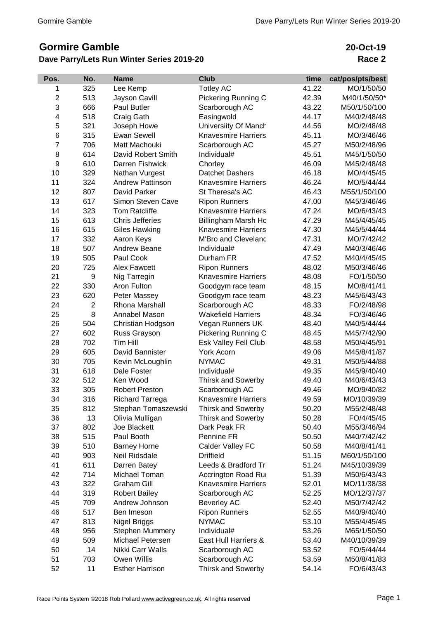## **Gormire Gamble**

## **Dave Parry/Lets Run Winter Series 2019-20**

**20-Oct-19 Race 2**

| Pos.           | No.            | <b>Name</b>             | <b>Club</b>                 | time  | cat/pos/pts/best |
|----------------|----------------|-------------------------|-----------------------------|-------|------------------|
| 1              | 325            | Lee Kemp                | <b>Totley AC</b>            | 41.22 | MO/1/50/50       |
| $\overline{c}$ | 513            | Jayson Cavill           | Pickering Running C         | 42.39 | M40/1/50/50*     |
| 3              | 666            | Paul Butler             | Scarborough AC              | 43.22 | M50/1/50/100     |
| 4              | 518            | Craig Gath              | Easingwold                  | 44.17 | M40/2/48/48      |
| 5              | 321            | Joseph Howe             | <b>Universiity Of Manch</b> | 44.56 | MO/2/48/48       |
| 6              | 315            | <b>Ewan Sewell</b>      | <b>Knavesmire Harriers</b>  | 45.11 | MO/3/46/46       |
| $\overline{7}$ | 706            | Matt Machouki           | Scarborough AC              | 45.27 | M50/2/48/96      |
| 8              | 614            | David Robert Smith      | Individual#                 | 45.51 | M45/1/50/50      |
| 9              | 610            | Darren Fishwick         | Chorley                     | 46.09 | M45/2/48/48      |
| 10             | 329            | Nathan Vurgest          | <b>Datchet Dashers</b>      | 46.18 | MO/4/45/45       |
| 11             | 324            | <b>Andrew Pattinson</b> | <b>Knavesmire Harriers</b>  | 46.24 | MO/5/44/44       |
| 12             | 807            | David Parker            | St Theresa's AC             | 46.43 | M55/1/50/100     |
| 13             | 617            | Simon Steven Cave       | <b>Ripon Runners</b>        | 47.00 | M45/3/46/46      |
| 14             | 323            | <b>Tom Ratcliffe</b>    | <b>Knavesmire Harriers</b>  | 47.24 | MO/6/43/43       |
| 15             | 613            | <b>Chris Jefferies</b>  | Billingham Marsh Ho         | 47.29 | M45/4/45/45      |
| 16             | 615            | <b>Giles Hawking</b>    | <b>Knavesmire Harriers</b>  | 47.30 | M45/5/44/44      |
| 17             | 332            | Aaron Keys              | M'Bro and Cleveland         | 47.31 | MO/7/42/42       |
| 18             | 507            | <b>Andrew Beane</b>     | Individual#                 | 47.49 | M40/3/46/46      |
| 19             | 505            | Paul Cook               | Durham FR                   | 47.52 | M40/4/45/45      |
| 20             | 725            | <b>Alex Fawcett</b>     | <b>Ripon Runners</b>        | 48.02 | M50/3/46/46      |
| 21             | 9              | Nig Tarregin            | <b>Knavesmire Harriers</b>  | 48.08 | FO/1/50/50       |
| 22             | 330            | Aron Fulton             | Goodgym race team           | 48.15 | MO/8/41/41       |
| 23             | 620            | Peter Massey            | Goodgym race team           | 48.23 | M45/6/43/43      |
| 24             | $\overline{2}$ | Rhona Marshall          | Scarborough AC              | 48.33 | FO/2/48/98       |
| 25             | 8              | Annabel Mason           | <b>Wakefield Harriers</b>   | 48.34 | FO/3/46/46       |
| 26             | 504            | Christian Hodgson       | Vegan Runners UK            | 48.40 | M40/5/44/44      |
| 27             | 602            | Russ Grayson            | Pickering Running C         | 48.45 | M45/7/42/90      |
| 28             | 702            | Tim Hill                | Esk Valley Fell Club        | 48.58 | M50/4/45/91      |
| 29             | 605            | David Bannister         | York Acorn                  | 49.06 | M45/8/41/87      |
| 30             | 705            | Kevin McLoughlin        | <b>NYMAC</b>                | 49.31 | M50/5/44/88      |
| 31             | 618            | Dale Foster             | Individual#                 | 49.35 | M45/9/40/40      |
| 32             | 512            | Ken Wood                | <b>Thirsk and Sowerby</b>   | 49.40 | M40/6/43/43      |
| 33             | 305            | <b>Robert Preston</b>   | Scarborough AC              | 49.46 | MO/9/40/82       |
| 34             | 316            | <b>Richard Tarrega</b>  | <b>Knavesmire Harriers</b>  | 49.59 | MO/10/39/39      |
| 35             | 812            | Stephan Tomaszewski     | Thirsk and Sowerby          | 50.20 | M55/2/48/48      |
| 36             | 13             | Olivia Mulligan         | <b>Thirsk and Sowerby</b>   | 50.28 | FO/4/45/45       |
| 37             | 802            | Joe Blackett            | Dark Peak FR                | 50.40 | M55/3/46/94      |
| 38             | 515            | Paul Booth              | Pennine FR                  | 50.50 | M40/7/42/42      |
| 39             | 510            | <b>Barney Horne</b>     | Calder Valley FC            | 50.58 | M40/8/41/41      |
| 40             | 903            | Neil Ridsdale           | <b>Driffield</b>            | 51.15 | M60/1/50/100     |
| 41             | 611            | Darren Batey            | Leeds & Bradford Tri        | 51.24 | M45/10/39/39     |
| 42             | 714            | Michael Toman           | Accrington Road Rui         | 51.39 | M50/6/43/43      |
| 43             | 322            | <b>Graham Gill</b>      | <b>Knavesmire Harriers</b>  | 52.01 | MO/11/38/38      |
| 44             | 319            | <b>Robert Bailey</b>    | Scarborough AC              | 52.25 | MO/12/37/37      |
| 45             | 709            | Andrew Johnson          | <b>Beverley AC</b>          | 52.40 | M50/7/42/42      |
| 46             | 517            | Ben Imeson              | <b>Ripon Runners</b>        | 52.55 | M40/9/40/40      |
| 47             | 813            | Nigel Briggs            | <b>NYMAC</b>                | 53.10 | M55/4/45/45      |
| 48             | 956            | <b>Stephen Mummery</b>  | Individual#                 | 53.26 | M65/1/50/50      |
| 49             | 509            | Michael Petersen        | East Hull Harriers &        | 53.40 | M40/10/39/39     |
| 50             | 14             | Nikki Carr Walls        | Scarborough AC              | 53.52 | FO/5/44/44       |
| 51             | 703            | Owen Willis             | Scarborough AC              | 53.59 | M50/8/41/83      |
| 52             | 11             | <b>Esther Harrison</b>  | Thirsk and Sowerby          | 54.14 | FO/6/43/43       |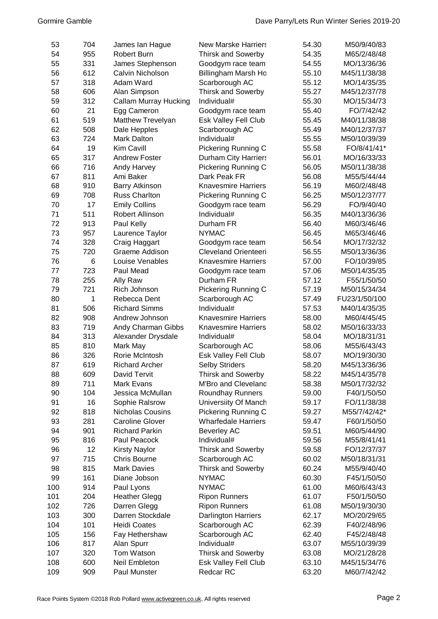| 53  | 704 | James lan Hague              | <b>New Marske Harriers</b>  | 54.30 | M50/9/40/83   |
|-----|-----|------------------------------|-----------------------------|-------|---------------|
| 54  | 955 | Robert Burn                  | <b>Thirsk and Sowerby</b>   | 54.35 | M65/2/48/48   |
| 55  | 331 | James Stephenson             | Goodgym race team           | 54.55 | MO/13/36/36   |
| 56  | 612 | Calvin Nicholson             | Billingham Marsh Ho         | 55.10 | M45/11/38/38  |
| 57  | 318 | Adam Ward                    | Scarborough AC              | 55.12 | MO/14/35/35   |
| 58  | 606 | Alan Simpson                 | <b>Thirsk and Sowerby</b>   | 55.27 | M45/12/37/78  |
| 59  | 312 | <b>Callam Murray Hucking</b> | Individual#                 | 55.30 | MO/15/34/73   |
| 60  | 21  | Egg Cameron                  | Goodgym race team           | 55.40 | FO/7/42/42    |
| 61  | 519 | Matthew Trevelyan            | Esk Valley Fell Club        | 55.45 | M40/11/38/38  |
| 62  | 508 | Dale Hepples                 | Scarborough AC              | 55.49 | M40/12/37/37  |
| 63  | 724 | <b>Mark Dalton</b>           | Individual#                 | 55.55 | M50/10/39/39  |
| 64  | 19  | Kim Cavill                   | <b>Pickering Running C</b>  | 55.58 | FO/8/41/41*   |
| 65  | 317 | <b>Andrew Foster</b>         | <b>Durham City Harriers</b> | 56.01 | MO/16/33/33   |
| 66  | 716 | Andy Harvey                  | <b>Pickering Running C</b>  | 56.05 | M50/11/38/38  |
| 67  | 811 | Ami Baker                    | Dark Peak FR                | 56.08 | M55/5/44/44   |
| 68  | 910 | <b>Barry Atkinson</b>        | <b>Knavesmire Harriers</b>  | 56.19 | M60/2/48/48   |
| 69  | 708 | <b>Russ Charlton</b>         | Pickering Running C         | 56.25 | M50/12/37/77  |
| 70  | 17  | <b>Emily Collins</b>         | Goodgym race team           | 56.29 | FO/9/40/40    |
| 71  | 511 | Robert Allinson              | Individual#                 | 56.35 | M40/13/36/36  |
| 72  | 913 | Paul Kelly                   | Durham FR                   | 56.40 | M60/3/46/46   |
| 73  | 957 | Laurence Taylor              | <b>NYMAC</b>                | 56.45 | M65/3/46/46   |
| 74  | 328 | Craig Haggart                | Goodgym race team           | 56.54 | MO/17/32/32   |
| 75  | 720 | Graeme Addison               | <b>Cleveland Orienteeri</b> | 56.55 | M50/13/36/36  |
| 76  | 6   | Louise Venables              | <b>Knavesmire Harriers</b>  | 57.00 | FO/10/39/85   |
| 77  | 723 | Paul Mead                    | Goodgym race team           | 57.06 | M50/14/35/35  |
| 78  | 255 | Ally Raw                     | Durham FR                   | 57.12 | F55/1/50/50   |
| 79  | 721 | Rich Johnson                 | <b>Pickering Running C</b>  | 57.19 | M50/15/34/34  |
| 80  | 1   | Rebecca Dent                 | Scarborough AC              | 57.49 | FU23/1/50/100 |
| 81  | 506 | <b>Richard Simms</b>         | Individual#                 | 57.53 | M40/14/35/35  |
| 82  | 908 | Andrew Johnson               | <b>Knavesmire Harriers</b>  | 58.00 | M60/4/45/45   |
| 83  | 719 | Andy Charman Gibbs           | <b>Knavesmire Harriers</b>  | 58.02 | M50/16/33/33  |
| 84  | 313 | Alexander Drysdale           | Individual#                 | 58.04 | MO/18/31/31   |
| 85  | 810 | Mark May                     | Scarborough AC              | 58.06 | M55/6/43/43   |
| 86  | 326 | Rorie McIntosh               | Esk Valley Fell Club        | 58.07 | MO/19/30/30   |
| 87  | 619 | <b>Richard Archer</b>        | <b>Selby Striders</b>       | 58.20 | M45/13/36/36  |
| 88  | 609 | David Tervit                 | <b>Thirsk and Sowerby</b>   | 58.22 | M45/14/35/78  |
| 89  | 711 | <b>Mark Evans</b>            | <b>M'Bro and Cleveland</b>  | 58.38 | M50/17/32/32  |
| 90  | 104 | Jessica McMullan             | <b>Roundhay Runners</b>     | 59.00 | F40/1/50/50   |
| 91  | 16  | Sophie Ralsrow               | Universiity Of Manch        | 59.17 | FO/11/38/38   |
| 92  | 818 | Nicholas Cousins             | Pickering Running C         | 59.27 | M55/7/42/42*  |
| 93  | 281 | <b>Caroline Glover</b>       | <b>Wharfedale Harriers</b>  | 59.47 | F60/1/50/50   |
| 94  | 901 | <b>Richard Parkin</b>        | <b>Beverley AC</b>          | 59.51 | M60/5/44/90   |
| 95  | 816 | Paul Peacock                 | Individual#                 | 59.56 | M55/8/41/41   |
| 96  | 12  | <b>Kirsty Naylor</b>         | <b>Thirsk and Sowerby</b>   | 59.58 | FO/12/37/37   |
| 97  | 715 | <b>Chris Bourne</b>          | Scarborough AC              | 60.02 | M50/18/31/31  |
| 98  | 815 | <b>Mark Davies</b>           | <b>Thirsk and Sowerby</b>   | 60.24 | M55/9/40/40   |
| 99  | 161 | Diane Jobson                 | <b>NYMAC</b>                | 60.30 | F45/1/50/50   |
| 100 | 914 | Paul Lyons                   | <b>NYMAC</b>                | 61.00 | M60/6/43/43   |
| 101 | 204 | <b>Heather Glegg</b>         | <b>Ripon Runners</b>        | 61.07 | F50/1/50/50   |
| 102 | 726 | Darren Glegg                 | <b>Ripon Runners</b>        | 61.08 | M50/19/30/30  |
| 103 | 300 | Darren Stockdale             | <b>Darlington Harriers</b>  | 62.17 | MO/20/29/65   |
| 104 | 101 | <b>Heidi Coates</b>          | Scarborough AC              | 62.39 | F40/2/48/96   |
| 105 | 156 | Fay Hethershaw               | Scarborough AC              | 62.40 | F45/2/48/48   |
| 106 | 817 | Alan Spurr                   | Individual#                 | 63.07 | M55/10/39/39  |
| 107 | 320 | Tom Watson                   | <b>Thirsk and Sowerby</b>   | 63.08 | MO/21/28/28   |
| 108 | 600 | Neil Embleton                | Esk Valley Fell Club        | 63.10 | M45/15/34/76  |
| 109 | 909 | Paul Munster                 | Redcar RC                   | 63.20 | M60/7/42/42   |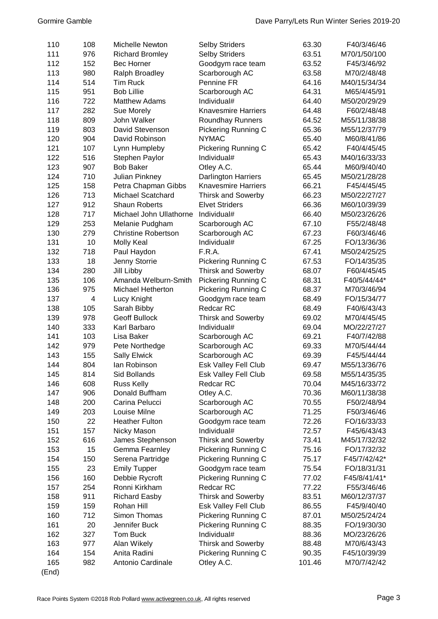| 110 | 108            | Michelle Newton            | <b>Selby Striders</b>      | 63.30  | F40/3/46/46  |
|-----|----------------|----------------------------|----------------------------|--------|--------------|
| 111 | 976            | <b>Richard Bromley</b>     | <b>Selby Striders</b>      | 63.51  | M70/1/50/100 |
| 112 | 152            | Bec Horner                 | Goodgym race team          | 63.52  | F45/3/46/92  |
| 113 | 980            | Ralph Broadley             | Scarborough AC             | 63.58  | M70/2/48/48  |
| 114 | 514            | <b>Tim Ruck</b>            | Pennine FR                 | 64.16  | M40/15/34/34 |
| 115 | 951            | <b>Bob Lillie</b>          | Scarborough AC             | 64.31  | M65/4/45/91  |
| 116 | 722            | <b>Matthew Adams</b>       | Individual#                | 64.40  | M50/20/29/29 |
| 117 | 282            | Sue Morely                 | <b>Knavesmire Harriers</b> | 64.48  | F60/2/48/48  |
| 118 | 809            | John Walker                | <b>Roundhay Runners</b>    | 64.52  | M55/11/38/38 |
| 119 | 803            | David Stevenson            | Pickering Running C        | 65.36  | M55/12/37/79 |
| 120 | 904            | David Robinson             | <b>NYMAC</b>               | 65.40  | M60/8/41/86  |
| 121 | 107            | Lynn Humpleby              | Pickering Running C        | 65.42  | F40/4/45/45  |
| 122 | 516            | Stephen Paylor             | Individual#                | 65.43  | M40/16/33/33 |
| 123 | 907            | <b>Bob Baker</b>           | Otley A.C.                 | 65.44  | M60/9/40/40  |
| 124 | 710            | <b>Julian Pinkney</b>      | <b>Darlington Harriers</b> | 65.45  | M50/21/28/28 |
| 125 | 158            | Petra Chapman Gibbs        | Knavesmire Harriers        | 66.21  | F45/4/45/45  |
| 126 | 713            | <b>Michael Scatchard</b>   | <b>Thirsk and Sowerby</b>  | 66.23  | M50/22/27/27 |
| 127 | 912            | <b>Shaun Roberts</b>       | <b>Elvet Striders</b>      | 66.36  | M60/10/39/39 |
| 128 | 717            | Michael John Ullathorne    | Individual#                | 66.40  | M50/23/26/26 |
| 129 | 253            | Melanie Pudgham            | Scarborough AC             | 67.10  | F55/2/48/48  |
| 130 | 279            | <b>Christine Robertson</b> | Scarborough AC             | 67.23  | F60/3/46/46  |
| 131 | 10             | Molly Keal                 | Individual#                | 67.25  | FO/13/36/36  |
| 132 | 718            | Paul Haydon                | F.R.A.                     | 67.41  | M50/24/25/25 |
| 133 | 18             | Jenny Storrie              | Pickering Running C        | 67.53  | FO/14/35/35  |
| 134 | 280            | Jill Libby                 | <b>Thirsk and Sowerby</b>  | 68.07  | F60/4/45/45  |
| 135 | 106            | Amanda Welburn-Smith       | Pickering Running C        | 68.31  | F40/5/44/44* |
| 136 | 975            | Michael Hetherton          | Pickering Running C        | 68.37  | M70/3/46/94  |
| 137 | $\overline{4}$ | Lucy Knight                | Goodgym race team          | 68.49  | FO/15/34/77  |
| 138 | 105            | Sarah Bibby                | Redcar RC                  | 68.49  | F40/6/43/43  |
| 139 | 978            | <b>Geoff Bullock</b>       | Thirsk and Sowerby         | 69.02  | M70/4/45/45  |
| 140 | 333            | Karl Barbaro               | Individual#                | 69.04  | MO/22/27/27  |
| 141 | 103            | Lisa Baker                 | Scarborough AC             | 69.21  | F40/7/42/88  |
| 142 | 979            | Pete Northedge             | Scarborough AC             | 69.33  | M70/5/44/44  |
| 143 | 155            | <b>Sally Elwick</b>        | Scarborough AC             | 69.39  | F45/5/44/44  |
| 144 | 804            | lan Robinson               | Esk Valley Fell Club       | 69.47  | M55/13/36/76 |
| 145 | 814            | Sid Bollands               | Esk Valley Fell Club       | 69.58  | M55/14/35/35 |
| 146 | 608            | <b>Russ Kelly</b>          | Redcar RC                  | 70.04  | M45/16/33/72 |
| 147 | 906            | Donald Buffham             | Otley A.C.                 | 70.36  | M60/11/38/38 |
| 148 | 200            | Carina Pelucci             | Scarborough AC             | 70.55  | F50/2/48/94  |
| 149 | 203            | Louise Milne               | Scarborough AC             | 71.25  | F50/3/46/46  |
| 150 | 22             | <b>Heather Fulton</b>      | Goodgym race team          | 72.26  | FO/16/33/33  |
| 151 | 157            | Nicky Mason                | Individual#                | 72.57  | F45/6/43/43  |
| 152 | 616            | James Stephenson           | <b>Thirsk and Sowerby</b>  | 73.41  | M45/17/32/32 |
| 153 | 15             | Gemma Fearnley             | Pickering Running C        | 75.16  | FO/17/32/32  |
| 154 | 150            | Serena Partridge           | Pickering Running C        | 75.17  | F45/7/42/42* |
| 155 | 23             | <b>Emily Tupper</b>        | Goodgym race team          | 75.54  | FO/18/31/31  |
| 156 | 160            | Debbie Rycroft             | Pickering Running C        | 77.02  | F45/8/41/41* |
| 157 | 254            | Ronni Kirkham              | Redcar RC                  | 77.22  | F55/3/46/46  |
| 158 | 911            | <b>Richard Easby</b>       | <b>Thirsk and Sowerby</b>  | 83.51  | M60/12/37/37 |
| 159 | 159            | Rohan Hill                 | Esk Valley Fell Club       | 86.55  | F45/9/40/40  |
| 160 | 712            | Simon Thomas               | Pickering Running C        | 87.01  | M50/25/24/24 |
| 161 | 20             | Jennifer Buck              | Pickering Running C        | 88.35  | FO/19/30/30  |
| 162 | 327            | Tom Buck                   | Individual#                | 88.36  | MO/23/26/26  |
| 163 | 977            | Alan Wikely                | <b>Thirsk and Sowerby</b>  | 88.48  | M70/6/43/43  |
| 164 | 154            | Anita Radini               | Pickering Running C        | 90.35  | F45/10/39/39 |
| 165 | 982            | Antonio Cardinale          | Otley A.C.                 | 101.46 | M70/7/42/42  |

(End)